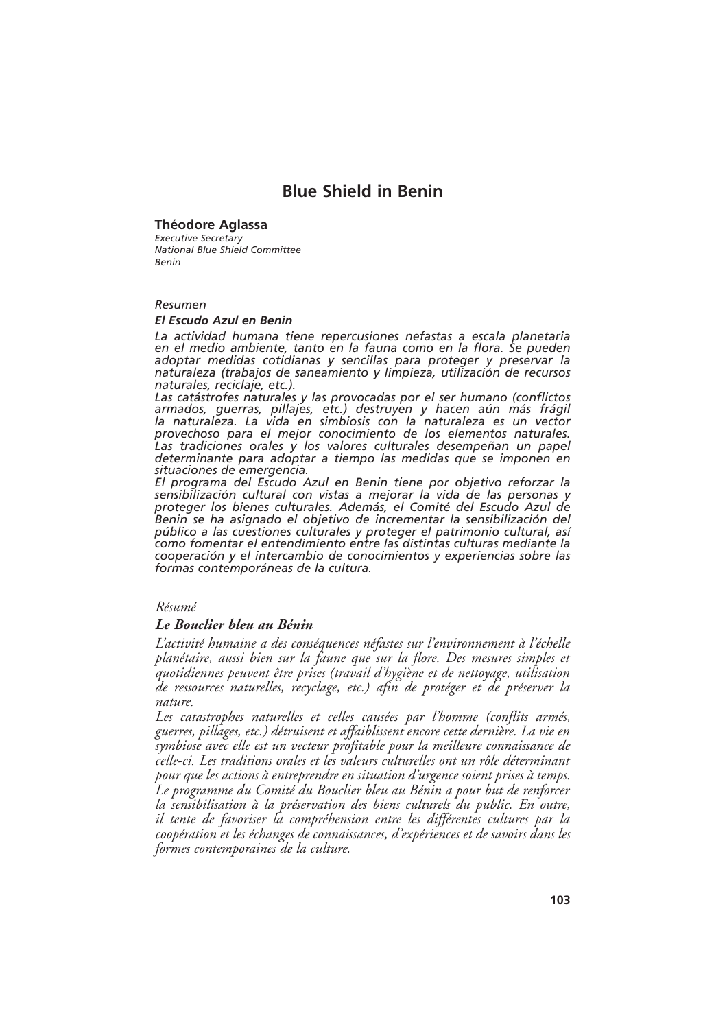# **Blue Shield in Benin**

# **Théodore Aglassa**

*Executive Secretary National Blue Shield Committee Benin*

## *Resumen*

## *El Escudo Azul en Benin*

*La actividad humana tiene repercusiones nefastas a escala planetaria en el medio ambiente, tanto en la fauna como en la flora. Se pueden adoptar medidas cotidianas y sencillas para proteger y preservar la naturaleza (trabajos de saneamiento y limpieza, utilización de recursos naturales, reciclaje, etc.).*

*Las catástrofes naturales y las provocadas por el ser humano (conflictos armados, guerras, pillajes, etc.) destruyen y hacen aún más frágil la naturaleza. La vida en simbiosis con la naturaleza es un vector provechoso para el mejor conocimiento de los elementos naturales. Las tradiciones orales y los valores culturales desempeñan un papel determinante para adoptar a tiempo las medidas que se imponen en situaciones de emergencia.*

*El programa del Escudo Azul en Benin tiene por objetivo reforzar la sensibilización cultural con vistas a mejorar la vida de las personas y proteger los bienes culturales. Además, el Comité del Escudo Azul de Benin se ha asignado el objetivo de incrementar la sensibilización del público a las cuestiones culturales y proteger el patrimonio cultural, así como fomentar el entendimiento entre las distintas culturas mediante la cooperación y el intercambio de conocimientos y experiencias sobre las formas contemporáneas de la cultura.*

# *Résumé*

# *Le Bouclier bleu au Bénin*

*L'activité humaine a des conséquences néfastes sur l'environnement à l'échelle planétaire, aussi bien sur la faune que sur la flore. Des mesures simples et quotidiennes peuvent être prises (travail d'hygiène et de nettoyage, utilisation de ressources naturelles, recyclage, etc.) afin de protéger et de préserver la nature.*

*Les catastrophes naturelles et celles causées par l'homme (conflits armés, guerres, pillages, etc.) détruisent et affaiblissent encore cette dernière. La vie en symbiose avec elle est un vecteur profitable pour la meilleure connaissance de celle-ci. Les traditions orales et les valeurs culturelles ont un rôle déterminant pour que les actions à entreprendre en situation d'urgence soient prises à temps. Le programme du Comité du Bouclier bleu au Bénin a pour but de renforcer la sensibilisation à la préservation des biens culturels du public. En outre, il tente de favoriser la compréhension entre les différentes cultures par la coopération et les échanges de connaissances, d'expériences et de savoirs dans les formes contemporaines de la culture.*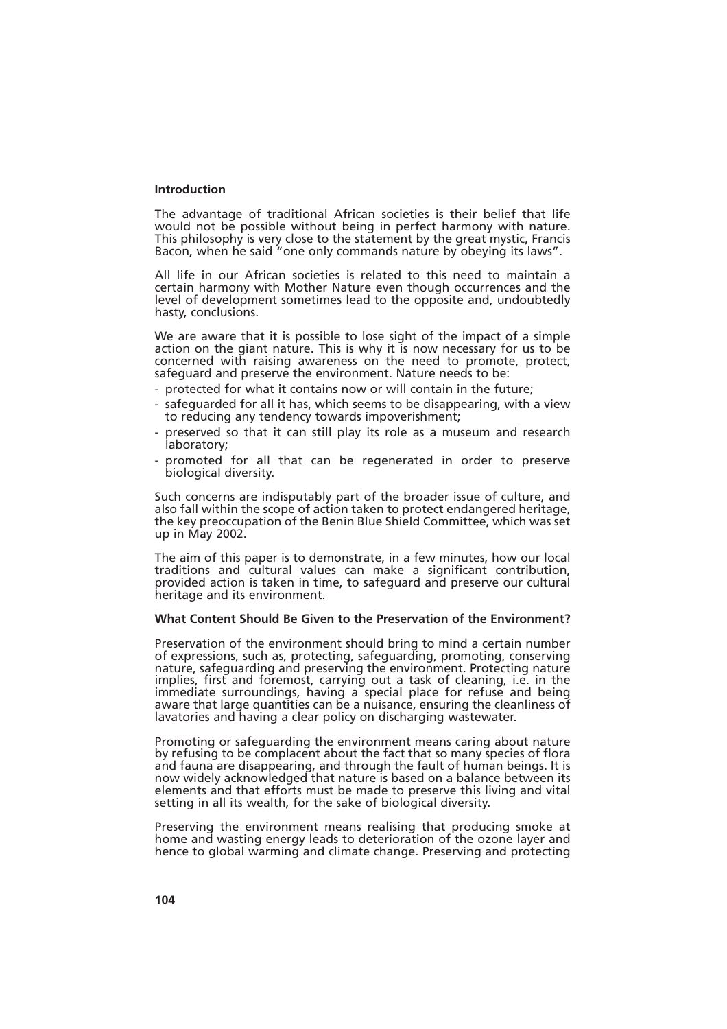## **Introduction**

The advantage of traditional African societies is their belief that life would not be possible without being in perfect harmony with nature. This philosophy is very close to the statement by the great mystic, Francis Bacon, when he said "one only commands nature by obeying its laws".

All life in our African societies is related to this need to maintain a certain harmony with Mother Nature even though occurrences and the level of development sometimes lead to the opposite and, undoubtedly hasty, conclusions.

We are aware that it is possible to lose sight of the impact of a simple action on the giant nature. This is why it is now necessary for us to be concerned with raising awareness on the need to promote, protect, safeguard and preserve the environment. Nature needs to be:

- protected for what it contains now or will contain in the future;
- safeguarded for all it has, which seems to be disappearing, with a view to reducing any tendency towards impoverishment;
- preserved so that it can still play its role as a museum and research laboratory;
- promoted for all that can be regenerated in order to preserve biological diversity.

Such concerns are indisputably part of the broader issue of culture, and also fall within the scope of action taken to protect endangered heritage, the key preoccupation of the Benin Blue Shield Committee, which was set up in May 2002.

The aim of this paper is to demonstrate, in a few minutes, how our local traditions and cultural values can make a significant contribution, provided action is taken in time, to safeguard and preserve our cultural heritage and its environment.

#### **What Content Should Be Given to the Preservation of the Environment?**

Preservation of the environment should bring to mind a certain number of expressions, such as, protecting, safeguarding, promoting, conserving nature, safeguarding and preserving the environment. Protecting nature implies, first and foremost, carrying out a task of cleaning, i.e. in the immediate surroundings, having a special place for refuse and being aware that large quantities can be a nuisance, ensuring the cleanliness of lavatories and having a clear policy on discharging wastewater.

Promoting or safeguarding the environment means caring about nature by refusing to be complacent about the fact that so many species of flora and fauna are disappearing, and through the fault of human beings. It is now widely acknowledged that nature is based on a balance between its elements and that efforts must be made to preserve this living and vital setting in all its wealth, for the sake of biological diversity.

Preserving the environment means realising that producing smoke at home and wasting energy leads to deterioration of the ozone layer and hence to global warming and climate change. Preserving and protecting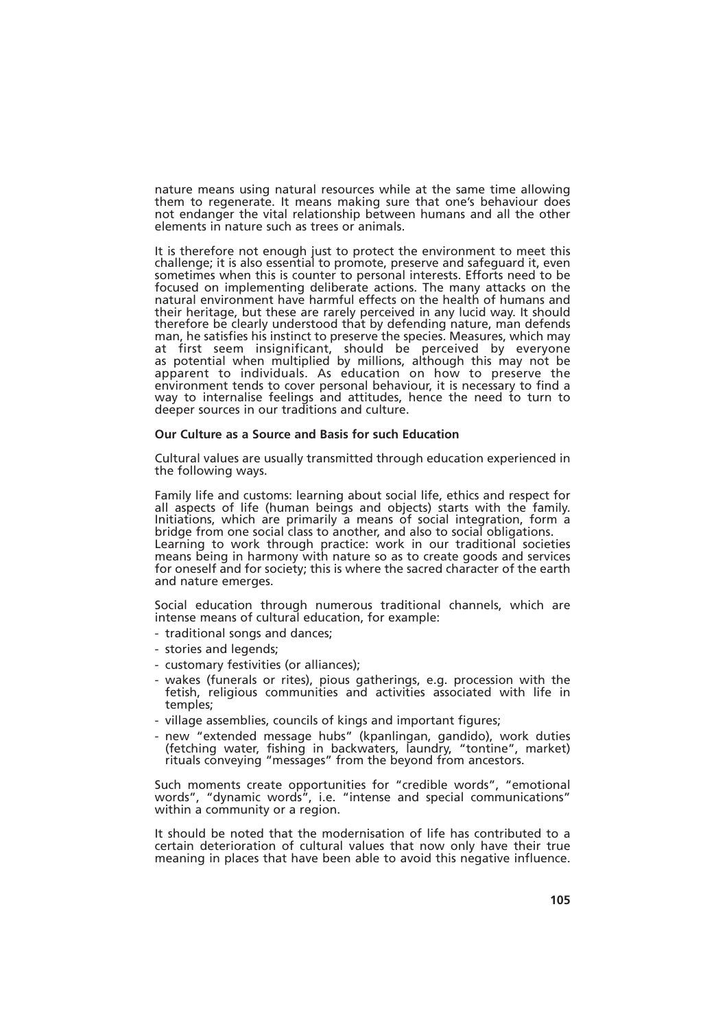nature means using natural resources while at the same time allowing them to regenerate. It means making sure that one's behaviour does not endanger the vital relationship between humans and all the other elements in nature such as trees or animals.

It is therefore not enough just to protect the environment to meet this challenge; it is also essential to promote, preserve and safeguard it, even sometimes when this is counter to personal interests. Efforts need to be focused on implementing deliberate actions. The many attacks on the natural environment have harmful effects on the health of humans and their heritage, but these are rarely perceived in any lucid way. It should therefore be clearly understood that by defending nature, man defends man, he satisfies his instinct to preserve the species. Measures, which may at first seem insignificant, should be perceived by everyone as potential when multiplied by millions, although this may not be apparent to individuals. As education on how to preserve the environment tends to cover personal behaviour, it is necessary to find a way to internalise feelings and attitudes, hence the need to turn to deeper sources in our traditions and culture.

#### **Our Culture as a Source and Basis for such Education**

Cultural values are usually transmitted through education experienced in the following ways.

Family life and customs: learning about social life, ethics and respect for all aspects of life (human beings and objects) starts with the family. Initiations, which are primarily a means of social integration, form a bridge from one social class to another, and also to social obligations. Learning to work through practice: work in our traditional societies means being in harmony with nature so as to create goods and services for oneself and for society; this is where the sacred character of the earth and nature emerges.

Social education through numerous traditional channels, which are intense means of cultural education, for example:

- traditional songs and dances;
- stories and legends;
- customary festivities (or alliances);
- wakes (funerals or rites), pious gatherings, e.g. procession with the fetish, religious communities and activities associated with life in temples;
- village assemblies, councils of kings and important figures;
- new "extended message hubs" (kpanlingan, gandido), work duties (fetching water, fishing in backwaters, laundry, "tontine", market) rituals conveying "messages" from the beyond from ancestors.

Such moments create opportunities for "credible words", "emotional words", "dynamic words", i.e. "intense and special communications" within a community or a region.

It should be noted that the modernisation of life has contributed to a certain deterioration of cultural values that now only have their true meaning in places that have been able to avoid this negative influence.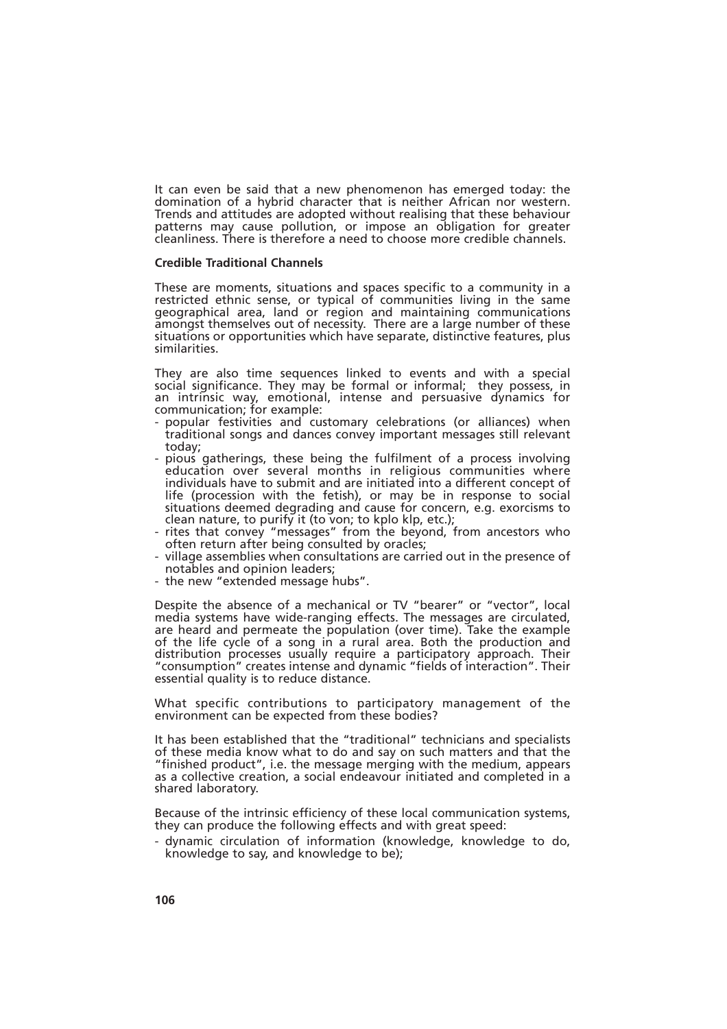It can even be said that a new phenomenon has emerged today: the domination of a hybrid character that is neither African nor western. Trends and attitudes are adopted without realising that these behaviour patterns may cause pollution, or impose an obligation for greater cleanliness. There is therefore a need to choose more credible channels.

#### **Credible Traditional Channels**

These are moments, situations and spaces specific to a community in a restricted ethnic sense, or typical of communities living in the same geographical area, land or region and maintaining communications amongst themselves out of necessity. There are a large number of these situations or opportunities which have separate, distinctive features, plus similarities.

They are also time sequences linked to events and with a special social significance. They may be formal or informal; they possess, in an intrinsic way, emotional, intense and persuasive dynamics for communication; for example:

- popular festivities and customary celebrations (or alliances) when traditional songs and dances convey important messages still relevant today;
- pious gatherings, these being the fulfilment of a process involving education over several months in religious communities where individuals have to submit and are initiated into a different concept of life (procession with the fetish), or may be in response to social situations deemed degrading and cause for concern, e.g. exorcisms to clean nature, to purify it (to von; to kplo klp, etc.);
- rites that convey "messages" from the beyond, from ancestors who often return after being consulted by oracles;
- village assemblies when consultations are carried out in the presence of notables and opinion leaders;
- the new "extended message hubs".

Despite the absence of a mechanical or TV "bearer" or "vector", local media systems have wide-ranging effects. The messages are circulated, are heard and permeate the population (over time). Take the example of the life cycle of a song in a rural area. Both the production and distribution processes usually require a participatory approach. Their "consumption" creates intense and dynamic "fields of interaction". Their essential quality is to reduce distance.

What specific contributions to participatory management of the environment can be expected from these bodies?

It has been established that the "traditional" technicians and specialists of these media know what to do and say on such matters and that the "finished product", i.e. the message merging with the medium, appears as a collective creation, a social endeavour initiated and completed in a shared laboratory.

Because of the intrinsic efficiency of these local communication systems, they can produce the following effects and with great speed:

- dynamic circulation of information (knowledge, knowledge to do, knowledge to say, and knowledge to be);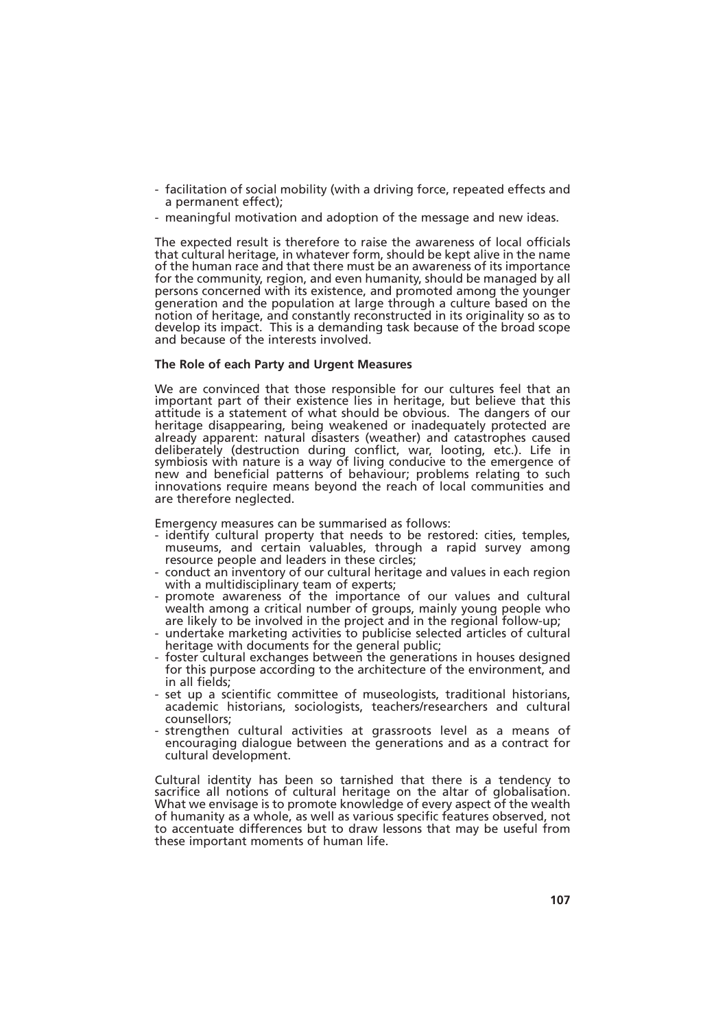- facilitation of social mobility (with a driving force, repeated effects and a permanent effect);
- meaningful motivation and adoption of the message and new ideas.

The expected result is therefore to raise the awareness of local officials that cultural heritage, in whatever form, should be kept alive in the name of the human race and that there must be an awareness of its importance for the community, region, and even humanity, should be managed by all persons concerned with its existence, and promoted among the younger generation and the population at large through a culture based on the notion of heritage, and constantly reconstructed in its originality so as to develop its impact. This is a demanding task because of the broad scope and because of the interests involved.

## **The Role of each Party and Urgent Measures**

We are convinced that those responsible for our cultures feel that an important part of their existence lies in heritage, but believe that this attitude is a statement of what should be obvious. The dangers of our heritage disappearing, being weakened or inadequately protected are already apparent: natural disasters (weather) and catastrophes caused deliberately (destruction during conflict, war, looting, etc.). Life in symbiosis with nature is a way of living conducive to the emergence of new and beneficial patterns of behaviour; problems relating to such innovations require means beyond the reach of local communities and are therefore neglected.

Emergency measures can be summarised as follows:

- identify cultural property that needs to be restored: cities, temples, museums, and certain valuables, through a rapid survey among resource people and leaders in these circles;
- conduct an inventory of our cultural heritage and values in each region with a multidisciplinary team of experts;
- promote awareness of the importance of our values and cultural wealth among a critical number of groups, mainly young people who are likely to be involved in the project and in the regional follow-up;
- undertake marketing activities to publicise selected articles of cultural heritage with documents for the general public;
- foster cultural exchanges between the generations in houses designed for this purpose according to the architecture of the environment, and in all fields;
- set up a scientific committee of museologists, traditional historians, academic historians, sociologists, teachers/researchers and cultural counsellors;
- strengthen cultural activities at grassroots level as a means of encouraging dialogue between the generations and as a contract for cultural development.

Cultural identity has been so tarnished that there is a tendency to sacrifice all notions of cultural heritage on the altar of globalisation. What we envisage is to promote knowledge of every aspect of the wealth of humanity as a whole, as well as various specific features observed, not to accentuate differences but to draw lessons that may be useful from these important moments of human life.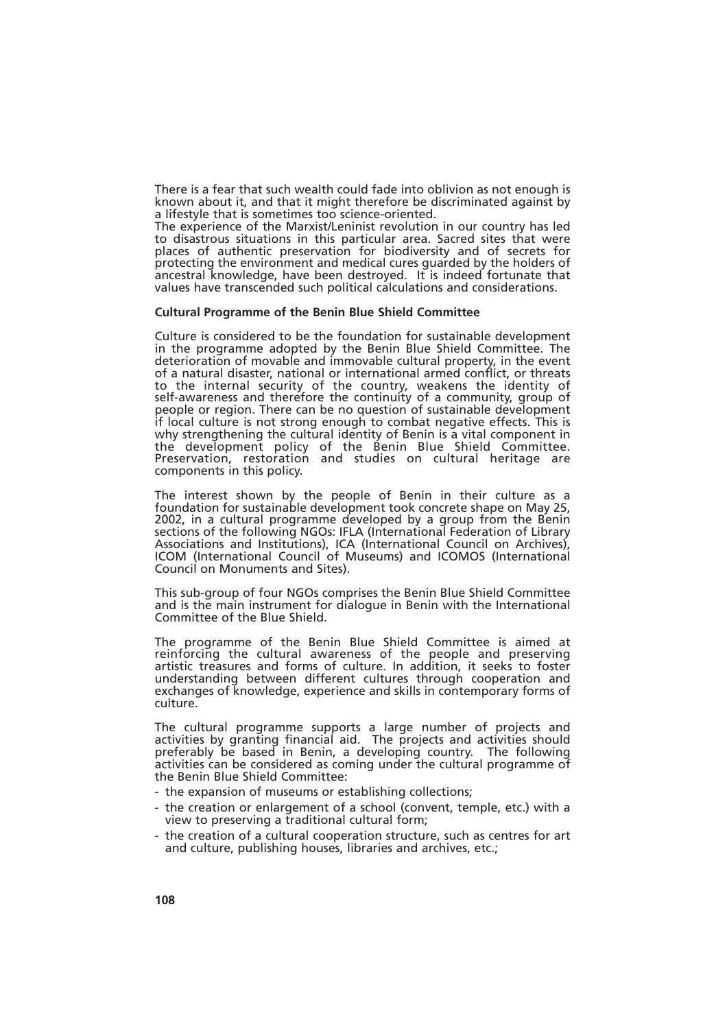There is a fear that such wealth could fade into oblivion as not enough is known about it, and that it might therefore be discriminated against by a lifestyle that is sometimes too science-oriented.

The experience of the Marxist/Leninist revolution in our country has led to disastrous situations in this particular area. Sacred sites that were places of authentic preservation for biodiversity and of secrets for protecting the environment and medical cures guarded by the holders of ancestral knowledge, have been destroyed. It is indeed fortunate that values have transcended such political calculations and considerations.

#### **Cultural Programme of the Benin Blue Shield Committee**

Culture is considered to be the foundation for sustainable development in the programme adopted by the Benin Blue Shield Committee. The deterioration of movable and immovable cultural property, in the event of a natural disaster, national or international armed conflict, or threats to the internal security of the country, weakens the identity of self-awareness and therefore the continuity of a community, group of people or region. There can be no question of sustainable development if local culture is not strong enough to combat negative effects. This is why strengthening the cultural identity of Benin is a vital component in the development policy of the Benin Blue Shield Committee. Preservation, restoration and studies on cultural heritage are components in this policy.

The interest shown by the people of Benin in their culture as a foundation for sustainable development took concrete shape on May 25, 2002, in a cultural programme developed by a group from the Benin sections of the following NGOs: IFLA (International Federation of Library Associations and Institutions), ICA (International Council on Archives), ICOM (International Council of Museums) and ICOMOS (International Council on Monuments and Sites).

This sub-group of four NGOs comprises the Benin Blue Shield Committee and is the main instrument for dialogue in Benin with the International Committee of the Blue Shield.

The programme of the Benin Blue Shield Committee is aimed at reinforcing the cultural awareness of the people and preserving artistic treasures and forms of culture. In addition, it seeks to foster understanding between different cultures through cooperation and exchanges of knowledge, experience and skills in contemporary forms of culture.

The cultural programme supports a large number of projects and activities by granting financial aid. The projects and activities should preferably be based in Benin, a developing country. The following activities can be considered as coming under the cultural programme of the Benin Blue Shield Committee:

- the expansion of museums or establishing collections;
- the creation or enlargement of a school (convent, temple, etc.) with a view to preserving a traditional cultural form;
- the creation of a cultural cooperation structure, such as centres for art and culture, publishing houses, libraries and archives, etc.;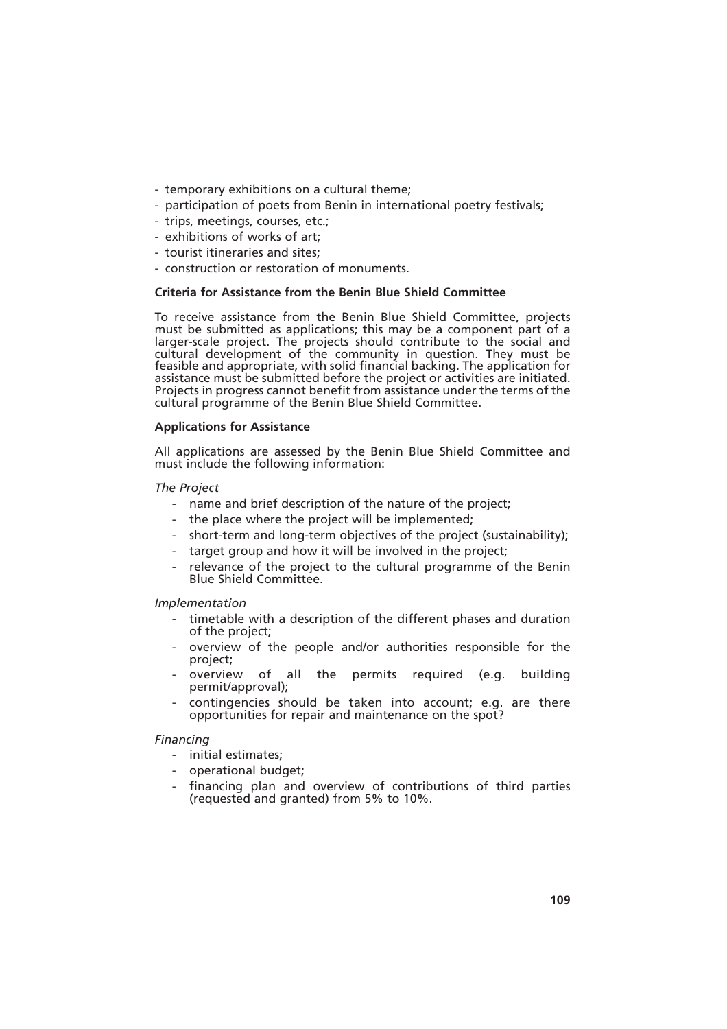- temporary exhibitions on a cultural theme;
- participation of poets from Benin in international poetry festivals;
- trips, meetings, courses, etc.;
- exhibitions of works of art;
- tourist itineraries and sites;
- construction or restoration of monuments.

# **Criteria for Assistance from the Benin Blue Shield Committee**

To receive assistance from the Benin Blue Shield Committee, projects must be submitted as applications; this may be a component part of a larger-scale project. The projects should contribute to the social and cultural development of the community in question. They must be feasible and appropriate, with solid financial backing. The application for assistance must be submitted before the project or activities are initiated. Projects in progress cannot benefit from assistance under the terms of the cultural programme of the Benin Blue Shield Committee.

## **Applications for Assistance**

All applications are assessed by the Benin Blue Shield Committee and must include the following information:

# *The Project*

- name and brief description of the nature of the project;
- the place where the project will be implemented;
- short-term and long-term objectives of the project (sustainability);
- target group and how it will be involved in the project;
- relevance of the project to the cultural programme of the Benin Blue Shield Committee.

# *Implementation*

- timetable with a description of the different phases and duration of the project;
- overview of the people and/or authorities responsible for the project;
- overview of all the permits required (e.g. building permit/approval);
- contingencies should be taken into account; e.g. are there opportunities for repair and maintenance on the spot?

# *Financing*

- initial estimates;
- operational budget;
- financing plan and overview of contributions of third parties (requested and granted) from 5% to 10%.